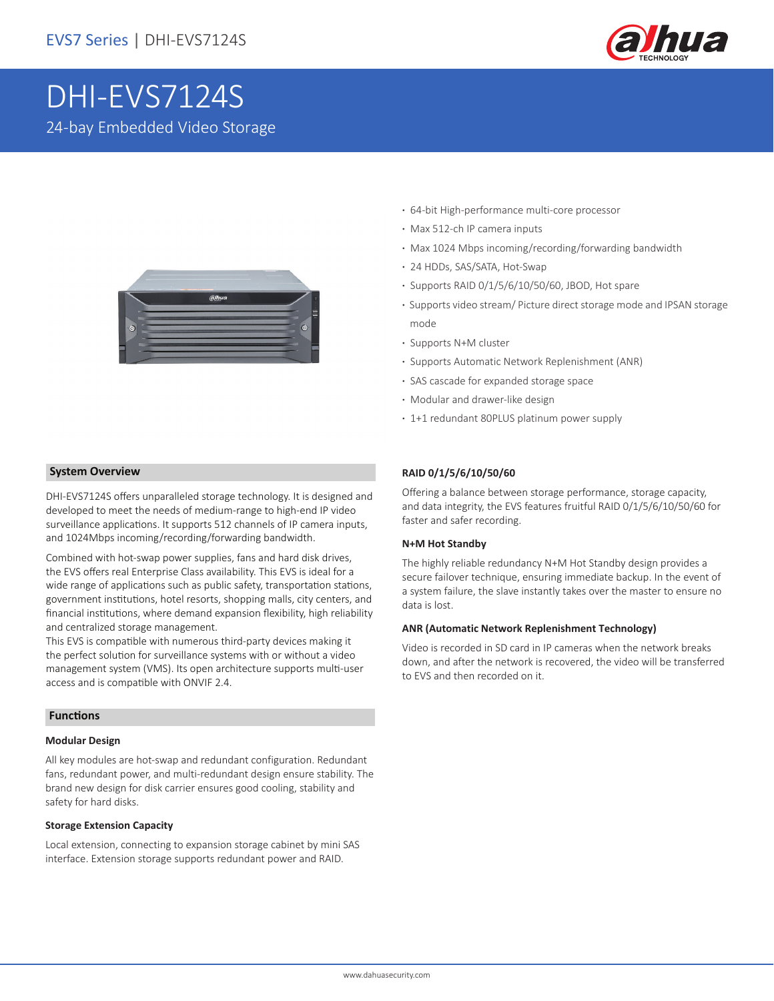

# DHI-EVS7124S 24-bay Embedded Video Storage



#### **System Overview**

DHI-EVS7124S offers unparalleled storage technology. It is designed and developed to meet the needs of medium-range to high-end IP video surveillance applications. It supports 512 channels of IP camera inputs, and 1024Mbps incoming/recording/forwarding bandwidth.

Combined with hot-swap power supplies, fans and hard disk drives, the EVS offers real Enterprise Class availability. This EVS is ideal for a wide range of applications such as public safety, transportation stations, government institutions, hotel resorts, shopping malls, city centers, and financial institutions, where demand expansion flexibility, high reliability and centralized storage management.

This EVS is compatible with numerous third-party devices making it the perfect solution for surveillance systems with or without a video management system (VMS). Its open architecture supports multi-user access and is compatible with ONVIF 2.4.

#### **Functions**

#### **Modular Design**

All key modules are hot-swap and redundant configuration. Redundant fans, redundant power, and multi-redundant design ensure stability. The brand new design for disk carrier ensures good cooling, stability and safety for hard disks.

#### **Storage Extension Capacity**

Local extension, connecting to expansion storage cabinet by mini SAS interface. Extension storage supports redundant power and RAID.

- **·** 64-bit High-performance multi-core processor
- **·** Max 512-ch IP camera inputs
- **·** Max 1024 Mbps incoming/recording/forwarding bandwidth
- **·** 24 HDDs, SAS/SATA, Hot-Swap
- **·** Supports RAID 0/1/5/6/10/50/60, JBOD, Hot spare
- **·** Supports video stream/ Picture direct storage mode and IPSAN storage mode
- **·** Supports N+M cluster
- **·** Supports Automatic Network Replenishment (ANR)
- **·** SAS cascade for expanded storage space
- **·** Modular and drawer-like design
- **·** 1+1 redundant 80PLUS platinum power supply

#### **RAID 0/1/5/6/10/50/60**

Offering a balance between storage performance, storage capacity, and data integrity, the EVS features fruitful RAID 0/1/5/6/10/50/60 for faster and safer recording.

#### **N+M Hot Standby**

The highly reliable redundancy N+M Hot Standby design provides a secure failover technique, ensuring immediate backup. In the event of a system failure, the slave instantly takes over the master to ensure no data is lost.

#### **ANR (Automatic Network Replenishment Technology)**

Video is recorded in SD card in IP cameras when the network breaks down, and after the network is recovered, the video will be transferred to EVS and then recorded on it.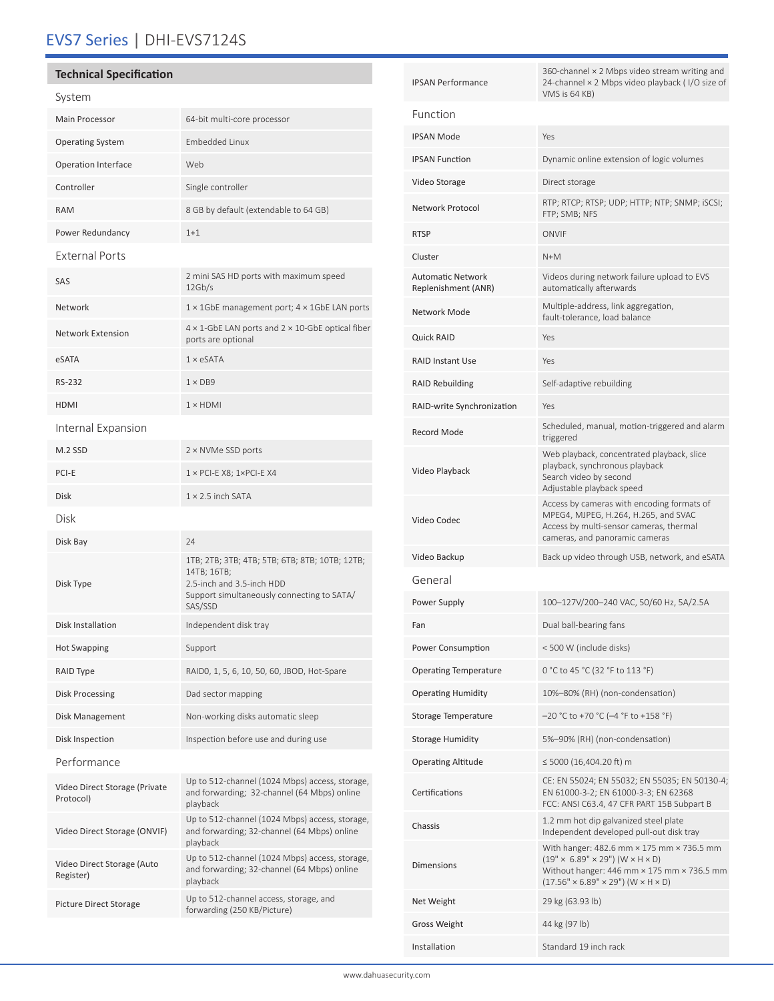# EVS7 Series | DHI-EVS7124S

## **Technical Specification**

### System

| System                                     |                                                                                                                                                     |  |  |
|--------------------------------------------|-----------------------------------------------------------------------------------------------------------------------------------------------------|--|--|
| <b>Main Processor</b>                      | 64-bit multi-core processor                                                                                                                         |  |  |
| <b>Operating System</b>                    | <b>Embedded Linux</b>                                                                                                                               |  |  |
| <b>Operation Interface</b>                 | Web                                                                                                                                                 |  |  |
| Controller                                 | Single controller                                                                                                                                   |  |  |
| <b>RAM</b>                                 | 8 GB by default (extendable to 64 GB)                                                                                                               |  |  |
| Power Redundancy                           | $1 + 1$                                                                                                                                             |  |  |
| <b>External Ports</b>                      |                                                                                                                                                     |  |  |
| SAS                                        | 2 mini SAS HD ports with maximum speed<br>12Gb/s                                                                                                    |  |  |
| Network                                    | 1 × 1GbE management port; 4 × 1GbE LAN ports                                                                                                        |  |  |
| <b>Network Extension</b>                   | $4 \times 1$ -GbE LAN ports and $2 \times 10$ -GbE optical fiber<br>ports are optional                                                              |  |  |
| eSATA                                      | $1 \times$ eSATA                                                                                                                                    |  |  |
| <b>RS-232</b>                              | $1 \times DB9$                                                                                                                                      |  |  |
| <b>HDMI</b>                                | $1 \times$ HDMI                                                                                                                                     |  |  |
| Internal Expansion                         |                                                                                                                                                     |  |  |
| M.2 SSD                                    | 2 × NVMe SSD ports                                                                                                                                  |  |  |
| PCI-E                                      | $1 \times$ PCI-E X8; $1 \times$ PCI-E X4                                                                                                            |  |  |
| <b>Disk</b>                                | $1 \times 2.5$ inch SATA                                                                                                                            |  |  |
| Disk                                       |                                                                                                                                                     |  |  |
| Disk Bay                                   | 24                                                                                                                                                  |  |  |
| Disk Type                                  | 1TB; 2TB; 3TB; 4TB; 5TB; 6TB; 8TB; 10TB; 12TB;<br>14TB; 16TB;<br>2.5-inch and 3.5-inch HDD<br>Support simultaneously connecting to SATA/<br>SAS/SSD |  |  |
| Disk Installation                          | Independent disk tray                                                                                                                               |  |  |
| <b>Hot Swapping</b>                        | Support                                                                                                                                             |  |  |
| RAID Type                                  | RAIDO, 1, 5, 6, 10, 50, 60, JBOD, Hot-Spare                                                                                                         |  |  |
| Disk Processing                            | Dad sector mapping                                                                                                                                  |  |  |
| Disk Management                            | Non-working disks automatic sleep                                                                                                                   |  |  |
| Disk Inspection                            | Inspection before use and during use                                                                                                                |  |  |
| Performance                                |                                                                                                                                                     |  |  |
| Video Direct Storage (Private<br>Protocol) | Up to 512-channel (1024 Mbps) access, storage,<br>and forwarding; 32-channel (64 Mbps) online<br>playback                                           |  |  |
| Video Direct Storage (ONVIF)               | Up to 512-channel (1024 Mbps) access, storage,<br>and forwarding; 32-channel (64 Mbps) online<br>playback                                           |  |  |
| Video Direct Storage (Auto<br>Register)    | Up to 512-channel (1024 Mbps) access, storage,<br>and forwarding; 32-channel (64 Mbps) online<br>playback                                           |  |  |
| <b>Picture Direct Storage</b>              | Up to 512-channel access, storage, and<br>forwarding (250 KB/Picture)                                                                               |  |  |

| <b>IPSAN Performance</b>                        | 360-channel × 2 Mbps video stream writing and<br>24-channel × 2 Mbps video playback (I/O size of<br>VMS is 64 KB)                                                                                                                    |  |  |  |
|-------------------------------------------------|--------------------------------------------------------------------------------------------------------------------------------------------------------------------------------------------------------------------------------------|--|--|--|
| Function                                        |                                                                                                                                                                                                                                      |  |  |  |
| <b>IPSAN Mode</b>                               | Yes                                                                                                                                                                                                                                  |  |  |  |
| <b>IPSAN Function</b>                           | Dynamic online extension of logic volumes                                                                                                                                                                                            |  |  |  |
| Video Storage                                   | Direct storage                                                                                                                                                                                                                       |  |  |  |
| Network Protocol                                | RTP; RTCP; RTSP; UDP; HTTP; NTP; SNMP; iSCSI;<br>FTP; SMB; NFS                                                                                                                                                                       |  |  |  |
| <b>RTSP</b>                                     | ONVIF                                                                                                                                                                                                                                |  |  |  |
| Cluster                                         | $N+M$                                                                                                                                                                                                                                |  |  |  |
| <b>Automatic Network</b><br>Replenishment (ANR) | Videos during network failure upload to EVS<br>automatically afterwards                                                                                                                                                              |  |  |  |
| Network Mode                                    | Multiple-address, link aggregation,<br>fault-tolerance, load balance                                                                                                                                                                 |  |  |  |
| <b>Quick RAID</b>                               | Yes                                                                                                                                                                                                                                  |  |  |  |
| <b>RAID Instant Use</b>                         | Yes                                                                                                                                                                                                                                  |  |  |  |
| <b>RAID Rebuilding</b>                          | Self-adaptive rebuilding                                                                                                                                                                                                             |  |  |  |
| RAID-write Synchronization                      | Yes                                                                                                                                                                                                                                  |  |  |  |
| Record Mode                                     | Scheduled, manual, motion-triggered and alarm<br>triggered                                                                                                                                                                           |  |  |  |
| Video Playback                                  | Web playback, concentrated playback, slice<br>playback, synchronous playback<br>Search video by second<br>Adjustable playback speed                                                                                                  |  |  |  |
| Video Codec                                     | Access by cameras with encoding formats of<br>MPEG4, MJPEG, H.264, H.265, and SVAC<br>Access by multi-sensor cameras, thermal<br>cameras, and panoramic cameras                                                                      |  |  |  |
| Video Backup                                    | Back up video through USB, network, and eSATA                                                                                                                                                                                        |  |  |  |
| General                                         |                                                                                                                                                                                                                                      |  |  |  |
| Power Supply                                    | 100-127V/200-240 VAC, 50/60 Hz, 5A/2.5A                                                                                                                                                                                              |  |  |  |
| Fan                                             | Dual ball-bearing fans                                                                                                                                                                                                               |  |  |  |
| Power Consumption                               | <500 W (include disks)                                                                                                                                                                                                               |  |  |  |
| <b>Operating Temperature</b>                    | 0 °C to 45 °C (32 °F to 113 °F)                                                                                                                                                                                                      |  |  |  |
| <b>Operating Humidity</b>                       | 10%-80% (RH) (non-condensation)                                                                                                                                                                                                      |  |  |  |
| Storage Temperature                             | $-20$ °C to +70 °C (-4 °F to +158 °F)                                                                                                                                                                                                |  |  |  |
| <b>Storage Humidity</b>                         | 5%-90% (RH) (non-condensation)                                                                                                                                                                                                       |  |  |  |
| <b>Operating Altitude</b>                       | ≤ 5000 (16,404.20 ft) m                                                                                                                                                                                                              |  |  |  |
| Certifications                                  | CE: EN 55024; EN 55032; EN 55035; EN 50130-4;<br>EN 61000-3-2; EN 61000-3-3; EN 62368<br>FCC: ANSI C63.4, 47 CFR PART 15B Subpart B                                                                                                  |  |  |  |
| Chassis                                         | 1.2 mm hot dip galvanized steel plate<br>Independent developed pull-out disk tray                                                                                                                                                    |  |  |  |
| <b>Dimensions</b>                               | With hanger: 482.6 mm × 175 mm × 736.5 mm<br>$(19" \times 6.89" \times 29")$ (W $\times$ H $\times$ D)<br>Without hanger: $446$ mm $\times$ 175 mm $\times$ 736.5 mm<br>$(17.56" \times 6.89" \times 29")$ (W $\times$ H $\times$ D) |  |  |  |
| Net Weight                                      | 29 kg (63.93 lb)                                                                                                                                                                                                                     |  |  |  |
| <b>Gross Weight</b>                             | 44 kg (97 lb)                                                                                                                                                                                                                        |  |  |  |
| Installation                                    | Standard 19 inch rack                                                                                                                                                                                                                |  |  |  |